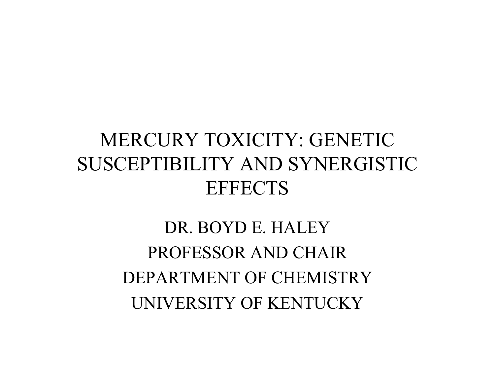### MERCURY TOXICITY: GENETIC SUSCEPTIBILITY AND SYNERGISTIC **EFFECTS**

DR. BOYD E. HALEYPROFESSOR AND CHAIRDEPARTMENT OF CHEMISTRYUNIVERSITY OF KENTUCKY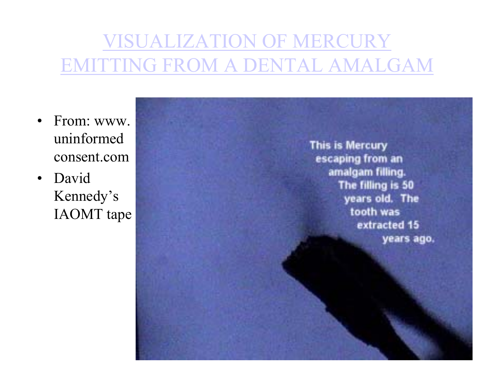## VISUALIZATION OF MERCURY EMITTING FROM A DENTAL AMALGAM

- •From: www. uninformed consent.com
- Davi dKennedy's IAOMT tape

This is Mercury escaping from an amalgam filling. The filling is 50 years old. The tooth was extracted 15 years ago.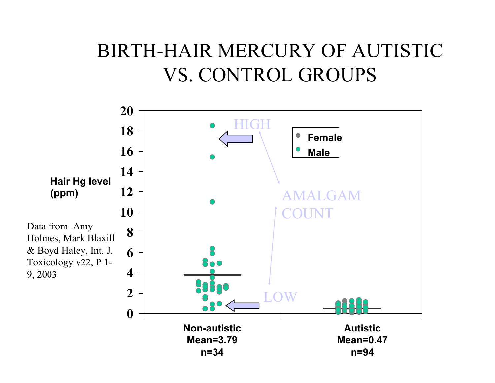#### BIRTH-HAIR MERCURY OF AUTISTIC VS. CONTROL GROUPS

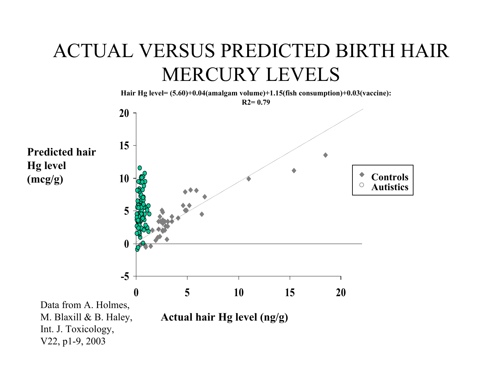### ACTUAL VERSUS PREDICTED BIRTH HAIR MERCURY LEVELS

**Hair Hg level= (5.60)+0.04(amalgam volume)+1.15(fish consumption)+0.03(vaccine):** 



Int. J. Toxicology, V22, p1-9, 2003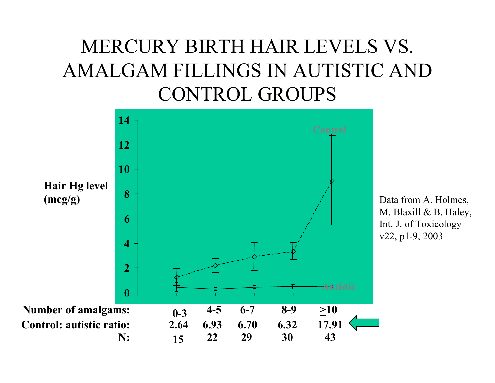## MERCURY BIRTH HAIR LEVELS VS. AMALGAM FILLINGS IN AUTISTIC AND CONTROL GROUPS



Data from A. Holmes, M. Blaxill & B. Haley, Int. J. of Toxicology v22, p1-9, 2003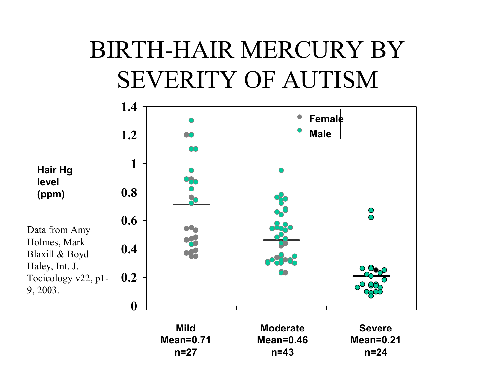# BIRTH-HAIR MERCURY BY SEVERITY OF AUTISM

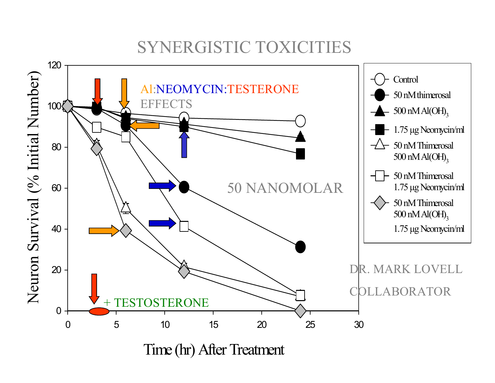#### SYNERGISTIC TOXICITIES

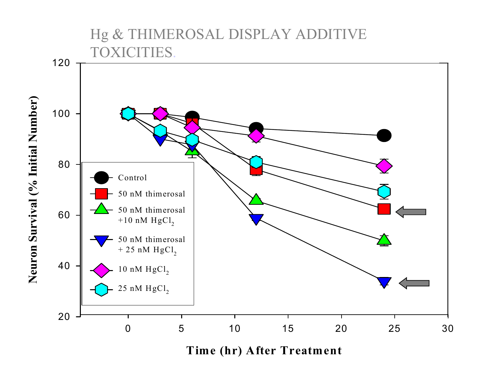Hg & THIMEROSAL DISPLAY ADDITIVE TOXICITIES.



**Time (hr) After Treatment**

**Neuron Survival (% Initial Number)** Neuron Survival (% Initial Number)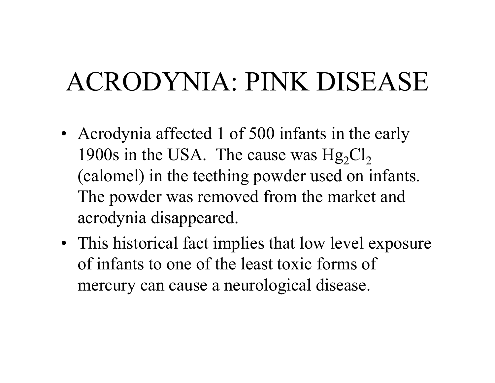# ACRODYNIA: PINK DISEASE

- Acrodynia affected 1 of 500 infants in the early 1900s in the USA. The cause was  $Hg_2Cl_2$ (calomel) in the teething powder used on infants. The powder was removed from the market and acrodynia disappeared.
- This historical fact implies that low level exposure of infants to one of the least toxic forms of mercury can cause a neurological disease.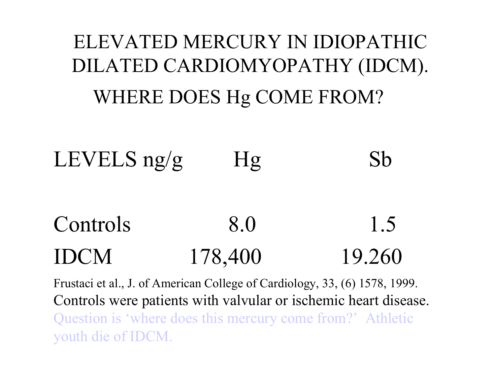# ELEVATED MERCURY IN IDIOPATHIC DILATED CARDIOMYOPATHY (IDCM). WHERE DOES Hg COME FROM?

# LEVELS  $ng/g$  Hg Sb

#### Controls 8.0 1.5 IDCM178,400 19.260

Frustaci et al., J. of American College of Cardiology, 33, (6) 1578, 1999. Controls were patients with valvular or ischemic heart disease. Question is 'where does this mercury come from?' Athletic youth die of IDCM.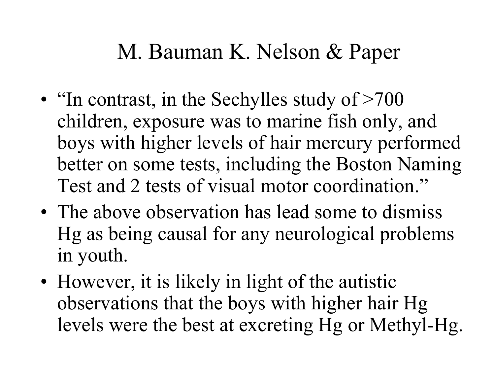## M. Bauman K. Nelson & Paper

- •• "In contrast, in the Sechylles study of >700 children, exposure was to marine fish only, and boys with higher levels of hair mercury performed better on some tests, including the Boston Naming Test and 2 tests of visual motor coordination."
- •• The above observation has lead some to dismiss Hg as being causal for any neurological problems in youth.
- •• However, it is likely in light of the autistic observations that the boys with higher hair Hg levels were the best at excreting Hg or Methyl-Hg.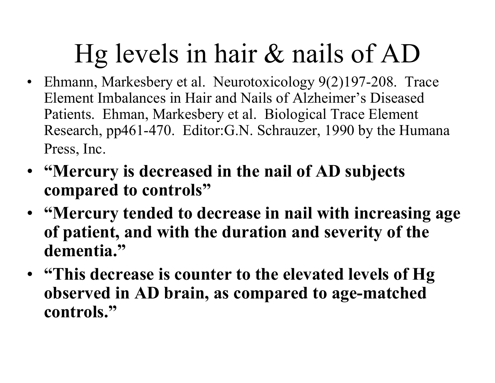# Hg levels in hair & nails of AD

- Ehmann, Markesbery et al. Neurotoxicology 9(2)197-208. Trace Element Imbalances in Hair and Nails of Alzheimer's Diseased Patients. Ehman, Markesbery et al. Biological Trace Element Research, pp461-470. Editor:G.N. Schrauzer, 1990 by the Humana Press, Inc.
- **"Mercury is decreased in the nail of AD subjects compared to controls"**
- **"Mercury tended to decrease in nail with increasing age of patient, and with the duration and severity of the dementia."**
- **"This decrease is counter to the elevated levels of Hg observed in AD brain, as compared to age-matched controls."**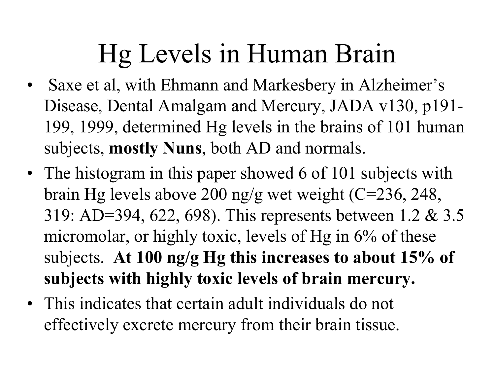# Hg Levels in Human Brain

- •Saxe et al, with Ehmann and Markesbery in Alzheimer's Disease, Dental Amalgam and Mercury, JADA v130, p191- 199, 1999, determined Hg levels in the brains of 101 human subjects, **mostly Nuns**, both AD and normals.
- The histogram in this paper showed 6 of 101 subjects with brain Hg levels above 200 ng/g wet weight (C=236, 248, 319: AD=394, 622, 698). This represents between 1.2 & 3.5 micromolar, or highly toxic, levels of Hg in 6% of these subjects. **At 100 ng/g Hg this increases to about 15% of subjects with highly toxic levels of brain mercury.**
- This indicates that certain adult individuals do not effectively excrete mercury from their brain tissue.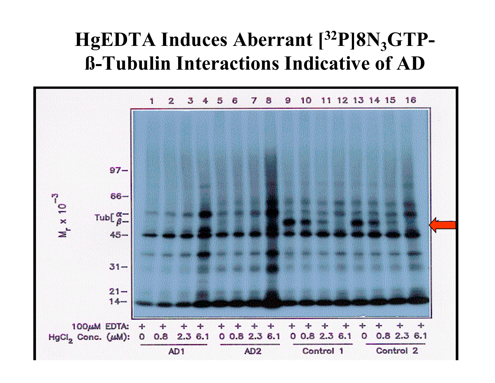#### HgEDTA Induces Aberrant [<sup>32</sup>P]8N<sub>3</sub>GTP**ß-Tubulin Interactions Indicative of AD**

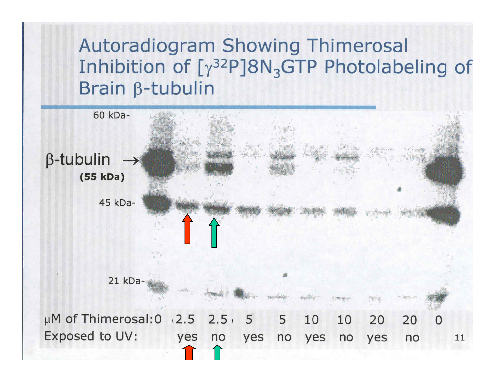#### **Autoradiogram Showing Thimerosal** Inhibition of  $[y^{32}P]8N_{3}GTP$  Photolabeling of Brain  $\beta$ -tubulin

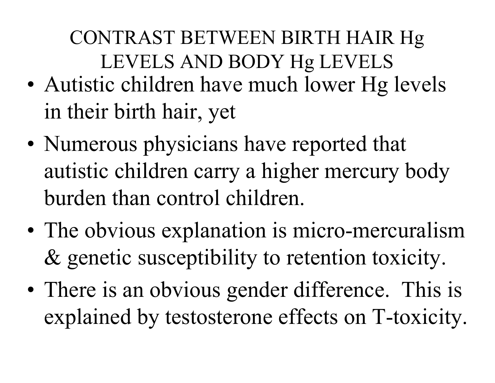CONTRAST BETWEEN BIRTH HAIR Hg LEVELS AND BODY Hg LEVELS

- •• Autistic children have much lower Hg levels in their birth hair, yet
- •• Numerous physicians have reported that autistic children carry a higher mercury body burden than control children.
- •• The obvious explanation is micro-mercuralism & genetic susceptibility to retention toxicity.
- •• There is an obvious gender difference. This is explained by testosterone effects on T-toxicity.